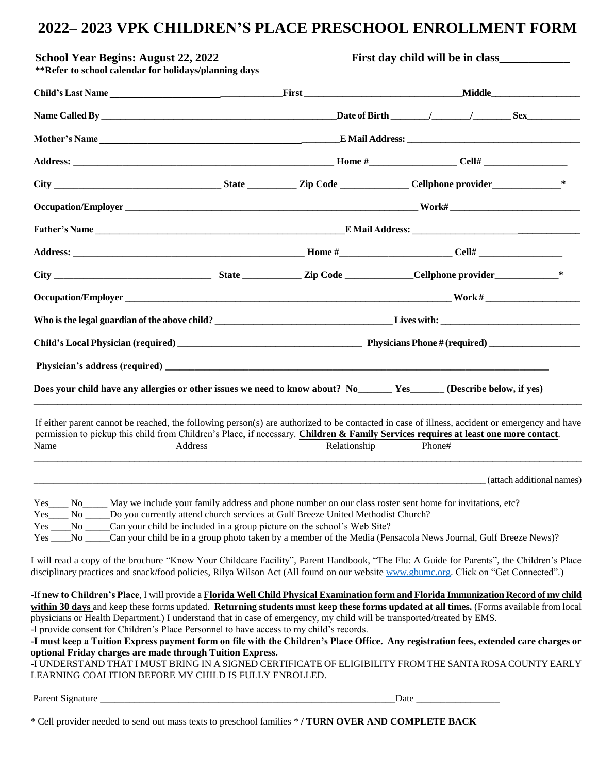## **2022– 2023 VPK CHILDREN'S PLACE PRESCHOOL ENROLLMENT FORM**

| <b>School Year Begins: August 22, 2022</b><br>**Refer to school calendar for holidays/planning days                                                                                                                                                                                                                                     |         | First day child will be in class |                                                                                                                                                                                                                                                                                                                                                                                                                                                                                                                                       |
|-----------------------------------------------------------------------------------------------------------------------------------------------------------------------------------------------------------------------------------------------------------------------------------------------------------------------------------------|---------|----------------------------------|---------------------------------------------------------------------------------------------------------------------------------------------------------------------------------------------------------------------------------------------------------------------------------------------------------------------------------------------------------------------------------------------------------------------------------------------------------------------------------------------------------------------------------------|
|                                                                                                                                                                                                                                                                                                                                         |         |                                  |                                                                                                                                                                                                                                                                                                                                                                                                                                                                                                                                       |
|                                                                                                                                                                                                                                                                                                                                         |         |                                  |                                                                                                                                                                                                                                                                                                                                                                                                                                                                                                                                       |
|                                                                                                                                                                                                                                                                                                                                         |         |                                  |                                                                                                                                                                                                                                                                                                                                                                                                                                                                                                                                       |
|                                                                                                                                                                                                                                                                                                                                         |         |                                  |                                                                                                                                                                                                                                                                                                                                                                                                                                                                                                                                       |
|                                                                                                                                                                                                                                                                                                                                         |         |                                  |                                                                                                                                                                                                                                                                                                                                                                                                                                                                                                                                       |
|                                                                                                                                                                                                                                                                                                                                         |         |                                  |                                                                                                                                                                                                                                                                                                                                                                                                                                                                                                                                       |
|                                                                                                                                                                                                                                                                                                                                         |         |                                  |                                                                                                                                                                                                                                                                                                                                                                                                                                                                                                                                       |
|                                                                                                                                                                                                                                                                                                                                         |         |                                  |                                                                                                                                                                                                                                                                                                                                                                                                                                                                                                                                       |
|                                                                                                                                                                                                                                                                                                                                         |         |                                  |                                                                                                                                                                                                                                                                                                                                                                                                                                                                                                                                       |
|                                                                                                                                                                                                                                                                                                                                         |         |                                  | Occupation/Employer Work #                                                                                                                                                                                                                                                                                                                                                                                                                                                                                                            |
|                                                                                                                                                                                                                                                                                                                                         |         |                                  |                                                                                                                                                                                                                                                                                                                                                                                                                                                                                                                                       |
|                                                                                                                                                                                                                                                                                                                                         |         |                                  |                                                                                                                                                                                                                                                                                                                                                                                                                                                                                                                                       |
|                                                                                                                                                                                                                                                                                                                                         |         |                                  |                                                                                                                                                                                                                                                                                                                                                                                                                                                                                                                                       |
| Does your child have any allergies or other issues we need to know about? No Westermann Yes (Describe below, if yes)                                                                                                                                                                                                                    |         |                                  |                                                                                                                                                                                                                                                                                                                                                                                                                                                                                                                                       |
| Name                                                                                                                                                                                                                                                                                                                                    | Address | Relationship                     | If either parent cannot be reached, the following person(s) are authorized to be contacted in case of illness, accident or emergency and have<br>permission to pickup this child from Children's Place, if necessary. Children & Family Services requires at least one more contact.<br>Phone#                                                                                                                                                                                                                                        |
|                                                                                                                                                                                                                                                                                                                                         |         |                                  | (attach additional names)                                                                                                                                                                                                                                                                                                                                                                                                                                                                                                             |
| Yes ______ No________ May we include your family address and phone number on our class roster sent home for invitations, etc?<br>Yes____ No _____ Do you currently attend church services at Gulf Breeze United Methodist Church?<br>Yes ____No _____Can your child be included in a group picture on the school's Web Site?            |         |                                  | Yes ____No _____Can your child be in a group photo taken by a member of the Media (Pensacola News Journal, Gulf Breeze News)?<br>I will read a copy of the brochure "Know Your Childcare Facility", Parent Handbook, "The Flu: A Guide for Parents", the Children's Place<br>disciplinary practices and snack/food policies, Rilya Wilson Act (All found on our website www.gbumc.org. Click on "Get Connected".)                                                                                                                     |
| physicians or Health Department.) I understand that in case of emergency, my child will be transported/treated by EMS.<br>-I provide consent for Children's Place Personnel to have access to my child's records.<br>optional Friday charges are made through Tuition Express.<br>LEARNING COALITION BEFORE MY CHILD IS FULLY ENROLLED. |         |                                  | -If new to Children's Place, I will provide a Florida Well Child Physical Examination form and Florida Immunization Record of my child<br>within 30 days and keep these forms updated. Returning students must keep these forms updated at all times. (Forms available from local<br>-I must keep a Tuition Express payment form on file with the Children's Place Office. Any registration fees, extended care charges or<br>I UNDERSTAND THAT I MUST BRING IN A SIGNED CERTIFICATE OF ELIGIBILITY FROM THE SANTA ROSA COUNTY EARLY- |
|                                                                                                                                                                                                                                                                                                                                         |         |                                  |                                                                                                                                                                                                                                                                                                                                                                                                                                                                                                                                       |

\* Cell provider needed to send out mass texts to preschool families \* **/ TURN OVER AND COMPLETE BACK**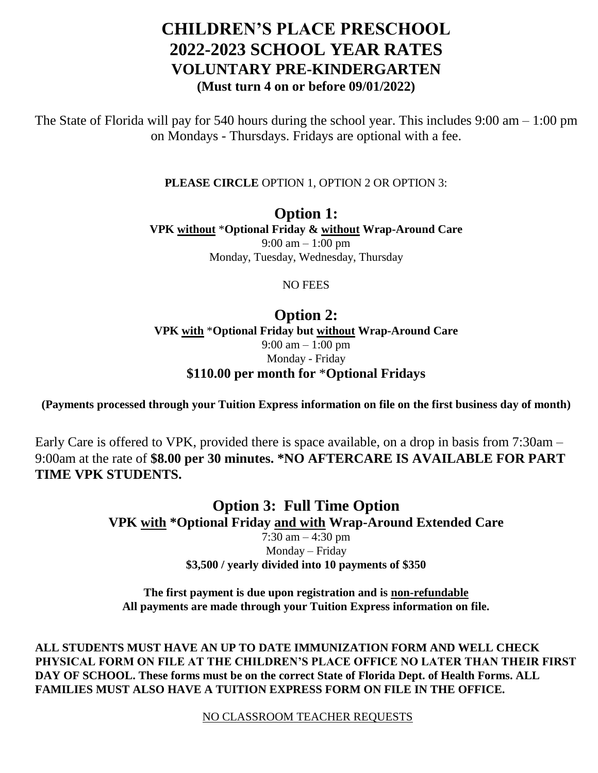## **CHILDREN'S PLACE PRESCHOOL 2022-2023 SCHOOL YEAR RATES VOLUNTARY PRE-KINDERGARTEN (Must turn 4 on or before 09/01/2022)**

The State of Florida will pay for 540 hours during the school year. This includes 9:00 am – 1:00 pm on Mondays - Thursdays. Fridays are optional with a fee.

**PLEASE CIRCLE** OPTION 1, OPTION 2 OR OPTION 3:

**Option 1: VPK without** \***Optional Friday & without Wrap-Around Care**  9:00 am – 1:00 pm Monday, Tuesday, Wednesday, Thursday

NO FEES

**Option 2: VPK with** \***Optional Friday but without Wrap-Around Care**  9:00 am – 1:00 pm Monday - Friday **\$110.00 per month for** \***Optional Fridays**

**(Payments processed through your Tuition Express information on file on the first business day of month)**

Early Care is offered to VPK, provided there is space available, on a drop in basis from 7:30am – 9:00am at the rate of **\$8.00 per 30 minutes. \*NO AFTERCARE IS AVAILABLE FOR PART TIME VPK STUDENTS.**

> **Option 3: Full Time Option VPK with \*Optional Friday and with Wrap-Around Extended Care**  7:30 am – 4:30 pm Monday – Friday **\$3,500 / yearly divided into 10 payments of \$350**

**The first payment is due upon registration and is non-refundable All payments are made through your Tuition Express information on file.**

**ALL STUDENTS MUST HAVE AN UP TO DATE IMMUNIZATION FORM AND WELL CHECK PHYSICAL FORM ON FILE AT THE CHILDREN'S PLACE OFFICE NO LATER THAN THEIR FIRST DAY OF SCHOOL. These forms must be on the correct State of Florida Dept. of Health Forms. ALL FAMILIES MUST ALSO HAVE A TUITION EXPRESS FORM ON FILE IN THE OFFICE.** 

NO CLASSROOM TEACHER REQUESTS